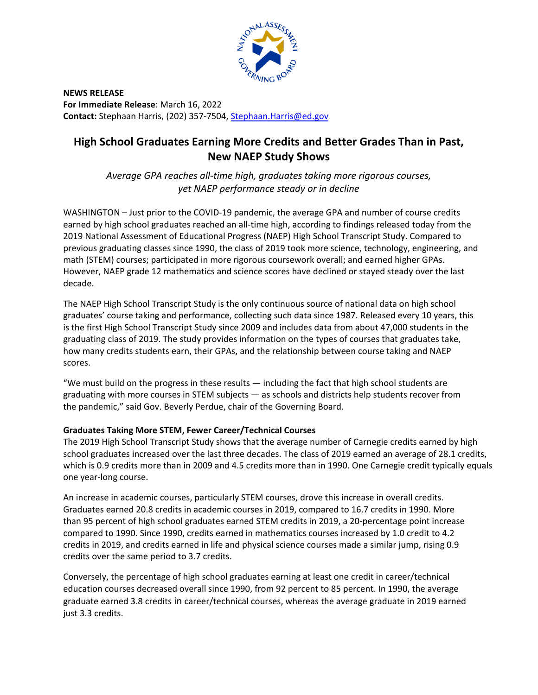

**NEWS RELEASE For Immediate Release**: March 16, 2022 **Contact:** Stephaan Harris, (202) 357-7504, [Stephaan.Harris@ed.gov](mailto:Stephaan.Harris@ed.gov) 

## **High School Graduates Earning More Credits and Better Grades Than in Past, New NAEP Study Shows**

*Average GPA reaches all-time high, graduates taking more rigorous courses, yet NAEP performance steady or in decline* 

WASHINGTON – Just prior to the COVID-19 pandemic, the average GPA and number of course credits earned by high school graduates reached an all-time high, according to findings released today from the 2019 National Assessment of Educational Progress (NAEP) High School Transcript Study. Compared to previous graduating classes since 1990, the class of 2019 took more science, technology, engineering, and math (STEM) courses; participated in more rigorous coursework overall; and earned higher GPAs. However, NAEP grade 12 mathematics and science scores have declined or stayed steady over the last decade.

The NAEP High School Transcript Study is the only continuous source of national data on high school graduates' course taking and performance, collecting such data since 1987. Released every 10 years, this is the first High School Transcript Study since 2009 and includes data from about 47,000 students in the graduating class of 2019. The study provides information on the types of courses that graduates take, how many credits students earn, their GPAs, and the relationship between course taking and NAEP scores.

"We must build on the progress in these results — including the fact that high school students are graduating with more courses in STEM subjects — as schools and districts help students recover from the pandemic," said Gov. Beverly Perdue, chair of the Governing Board.

## **Graduates Taking More STEM, Fewer Career/Technical Courses**

The 2019 High School Transcript Study shows that the average number of Carnegie credits earned by high school graduates increased over the last three decades. The class of 2019 earned an average of 28.1 credits, which is 0.9 credits more than in 2009 and 4.5 credits more than in 1990. One Carnegie credit typically equals one year-long course.

An increase in academic courses, particularly STEM courses, drove this increase in overall credits. Graduates earned 20.8 credits in academic courses in 2019, compared to 16.7 credits in 1990. More than 95 percent of high school graduates earned STEM credits in 2019, a 20-percentage point increase compared to 1990. Since 1990, credits earned in mathematics courses increased by 1.0 credit to 4.2 credits in 2019, and credits earned in life and physical science courses made a similar jump, rising 0.9 credits over the same period to 3.7 credits.

Conversely, the percentage of high school graduates earning at least one credit in career/technical education courses decreased overall since 1990, from 92 percent to 85 percent. In 1990, the average graduate earned 3.8 credits in career/technical courses, whereas the average graduate in 2019 earned just 3.3 credits.